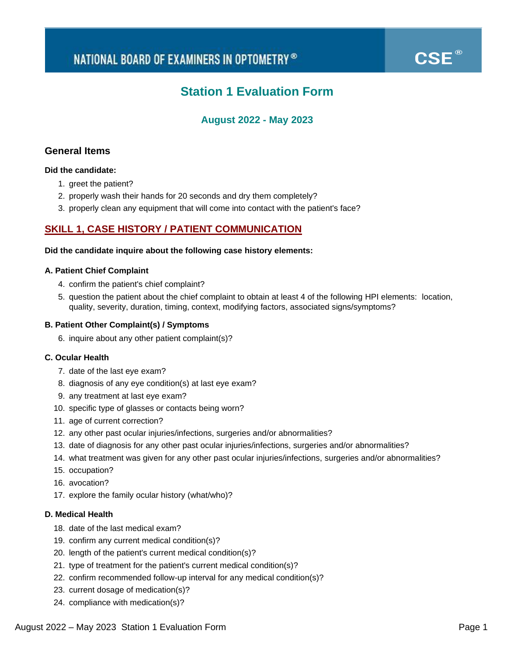# **Station 1 Evaluation Form**

# **August 2022 - May 2023**

### **General Items**

### **Did the candidate:**

- 1. greet the patient?
- 2. properly wash their hands for 20 seconds and dry them completely?
- 3. properly clean any equipment that will come into contact with the patient's face?

### **SKILL 1, CASE HISTORY / PATIENT COMMUNICATION**

### **Did the candidate inquire about the following case history elements:**

### **A. Patient Chief Complaint**

- 4. confirm the patient's chief complaint?
- 5. question the patient about the chief complaint to obtain at least 4 of the following HPI elements: location, quality, severity, duration, timing, context, modifying factors, associated signs/symptoms?

### **B. Patient Other Complaint(s) / Symptoms**

6. inquire about any other patient complaint(s)?

### **C. Ocular Health**

- 7. date of the last eye exam?
- 8. diagnosis of any eye condition(s) at last eye exam?
- 9. any treatment at last eye exam?
- 10. specific type of glasses or contacts being worn?
- 11. age of current correction?
- 12. any other past ocular injuries/infections, surgeries and/or abnormalities?
- 13. date of diagnosis for any other past ocular injuries/infections, surgeries and/or abnormalities?
- 14. what treatment was given for any other past ocular injuries/infections, surgeries and/or abnormalities?
- 15. occupation?
- 16. avocation?
- 17. explore the family ocular history (what/who)?

### **D. Medical Health**

- 18. date of the last medical exam?
- 19. confirm any current medical condition(s)?
- 20. length of the patient's current medical condition(s)?
- 21. type of treatment for the patient's current medical condition(s)?
- 22. confirm recommended follow-up interval for any medical condition(s)?
- 23. current dosage of medication(s)?
- 24. compliance with medication(s)?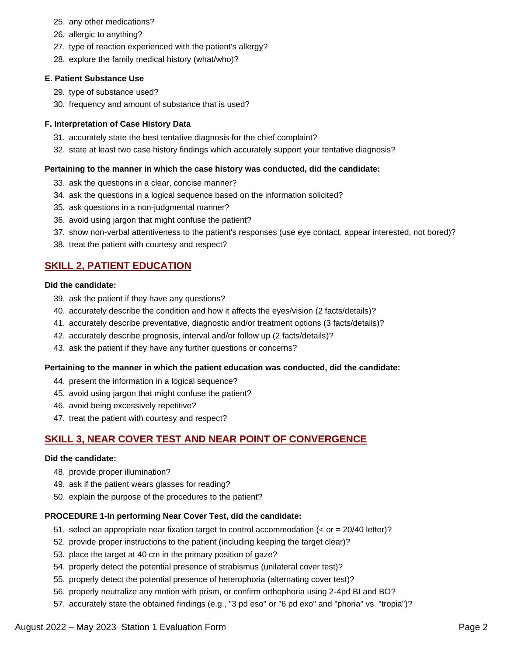- 25. any other medications?
- 26. allergic to anything?
- 27. type of reaction experienced with the patient's allergy?
- 28. explore the family medical history (what/who)?

### **E. Patient Substance Use**

- 29. type of substance used?
- 30. frequency and amount of substance that is used?

### **F. Interpretation of Case History Data**

- 31. accurately state the best tentative diagnosis for the chief complaint?
- 32. state at least two case history findings which accurately support your tentative diagnosis?

### **Pertaining to the manner in which the case history was conducted, did the candidate:**

- 33. ask the questions in a clear, concise manner?
- 34. ask the questions in a logical sequence based on the information solicited?
- 35. ask questions in a non-judgmental manner?
- 36. avoid using jargon that might confuse the patient?
- 37. show non-verbal attentiveness to the patient's responses (use eye contact, appear interested, not bored)?
- 38. treat the patient with courtesy and respect?

### **SKILL 2, PATIENT EDUCATION**

### **Did the candidate:**

- 39. ask the patient if they have any questions?
- 40. accurately describe the condition and how it affects the eyes/vision (2 facts/details)?
- 41. accurately describe preventative, diagnostic and/or treatment options (3 facts/details)?
- 42. accurately describe prognosis, interval and/or follow up (2 facts/details)?
- 43. ask the patient if they have any further questions or concerns?

### **Pertaining to the manner in which the patient education was conducted, did the candidate:**

- 44. present the information in a logical sequence?
- 45. avoid using jargon that might confuse the patient?
- 46. avoid being excessively repetitive?
- 47. treat the patient with courtesy and respect?

# **SKILL 3, NEAR COVER TEST AND NEAR POINT OF CONVERGENCE**

### **Did the candidate:**

- 48. provide proper illumination?
- 49. ask if the patient wears glasses for reading?
- 50. explain the purpose of the procedures to the patient?

### **PROCEDURE 1-In performing Near Cover Test, did the candidate:**

- 51. select an appropriate near fixation target to control accommodation (< or = 20/40 letter)?
- 52. provide proper instructions to the patient (including keeping the target clear)?
- 53. place the target at 40 cm in the primary position of gaze?
- 54. properly detect the potential presence of strabismus (unilateral cover test)?
- 55. properly detect the potential presence of heterophoria (alternating cover test)?
- 56. properly neutralize any motion with prism, or confirm orthophoria using 2-4pd BI and BO?
- 57. accurately state the obtained findings (e.g., "3 pd eso" or "6 pd exo" and "phoria" vs. "tropia")?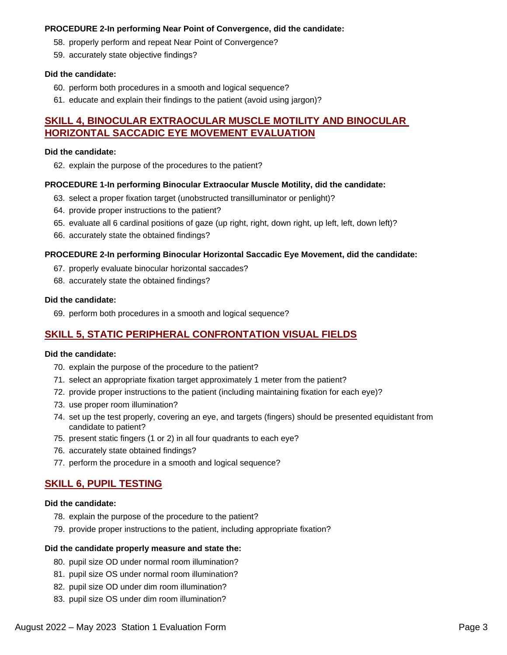### **PROCEDURE 2-In performing Near Point of Convergence, did the candidate:**

- 58. properly perform and repeat Near Point of Convergence?
- 59. accurately state objective findings?

### **Did the candidate:**

- 60. perform both procedures in a smooth and logical sequence?
- 61. educate and explain their findings to the patient (avoid using jargon)?

### **SKILL 4, BINOCULAR EXTRAOCULAR MUSCLE MOTILITY AND BINOCULAR HORIZONTAL SACCADIC EYE MOVEMENT EVALUATION**

### **Did the candidate:**

62. explain the purpose of the procedures to the patient?

### **PROCEDURE 1-In performing Binocular Extraocular Muscle Motility, did the candidate:**

- 63. select a proper fixation target (unobstructed transilluminator or penlight)?
- 64. provide proper instructions to the patient?
- 65. evaluate all 6 cardinal positions of gaze (up right, right, down right, up left, left, down left)?
- 66. accurately state the obtained findings?

### **PROCEDURE 2-In performing Binocular Horizontal Saccadic Eye Movement, did the candidate:**

- 67. properly evaluate binocular horizontal saccades?
- 68. accurately state the obtained findings?

### **Did the candidate:**

69. perform both procedures in a smooth and logical sequence?

### **SKILL 5, STATIC PERIPHERAL CONFRONTATION VISUAL FIELDS**

### **Did the candidate:**

- 70. explain the purpose of the procedure to the patient?
- 71. select an appropriate fixation target approximately 1 meter from the patient?
- 72. provide proper instructions to the patient (including maintaining fixation for each eye)?
- 73. use proper room illumination?
- 74. set up the test properly, covering an eye, and targets (fingers) should be presented equidistant from candidate to patient?
- 75. present static fingers (1 or 2) in all four quadrants to each eye?
- 76. accurately state obtained findings?
- 77. perform the procedure in a smooth and logical sequence?

# **SKILL 6, PUPIL TESTING**

### **Did the candidate:**

- 78. explain the purpose of the procedure to the patient?
- 79. provide proper instructions to the patient, including appropriate fixation?

### **Did the candidate properly measure and state the:**

- 80. pupil size OD under normal room illumination?
- 81. pupil size OS under normal room illumination?
- 82. pupil size OD under dim room illumination?
- 83. pupil size OS under dim room illumination?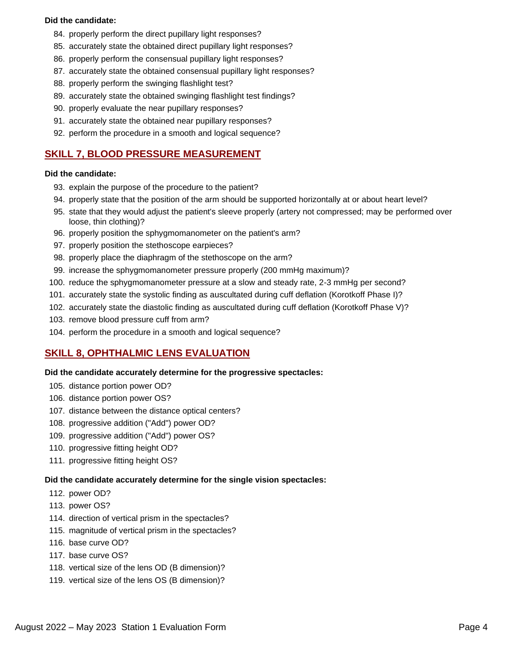### **Did the candidate:**

- 84. properly perform the direct pupillary light responses?
- 85. accurately state the obtained direct pupillary light responses?
- 86. properly perform the consensual pupillary light responses?
- 87. accurately state the obtained consensual pupillary light responses?
- 88. properly perform the swinging flashlight test?
- 89. accurately state the obtained swinging flashlight test findings?
- 90. properly evaluate the near pupillary responses?
- 91. accurately state the obtained near pupillary responses?
- 92. perform the procedure in a smooth and logical sequence?

# **SKILL 7, BLOOD PRESSURE MEASUREMENT**

### **Did the candidate:**

- 93. explain the purpose of the procedure to the patient?
- 94. properly state that the position of the arm should be supported horizontally at or about heart level?
- 95. state that they would adjust the patient's sleeve properly (artery not compressed; may be performed over loose, thin clothing)?
- 96. properly position the sphygmomanometer on the patient's arm?
- 97. properly position the stethoscope earpieces?
- 98. properly place the diaphragm of the stethoscope on the arm?
- 99. increase the sphygmomanometer pressure properly (200 mmHg maximum)?
- 100. reduce the sphygmomanometer pressure at a slow and steady rate, 2-3 mmHg per second?
- 101. accurately state the systolic finding as auscultated during cuff deflation (Korotkoff Phase I)?
- 102. accurately state the diastolic finding as auscultated during cuff deflation (Korotkoff Phase V)?
- 103. remove blood pressure cuff from arm?
- 104. perform the procedure in a smooth and logical sequence?

# **SKILL 8, OPHTHALMIC LENS EVALUATION**

### **Did the candidate accurately determine for the progressive spectacles:**

- 105. distance portion power OD?
- 106. distance portion power OS?
- 107. distance between the distance optical centers?
- 108. progressive addition ("Add") power OD?
- 109. progressive addition ("Add") power OS?
- 110. progressive fitting height OD?
- 111. progressive fitting height OS?

# **Did the candidate accurately determine for the single vision spectacles:**

- 112. power OD?
- 113. power OS?
- 114. direction of vertical prism in the spectacles?
- 115. magnitude of vertical prism in the spectacles?
- 116. base curve OD?
- 117. base curve OS?
- 118. vertical size of the lens OD (B dimension)?
- 119. vertical size of the lens OS (B dimension)?